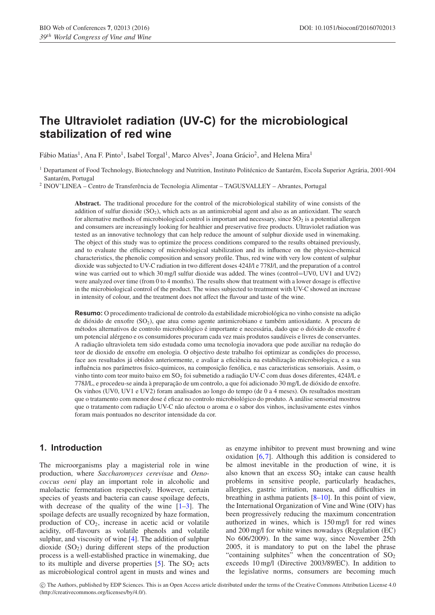# **The Ultraviolet radiation (UV-C) for the microbiological stabilization of red wine**

Fábio Matias<sup>1</sup>, Ana F. Pinto<sup>1</sup>, Isabel Torgal<sup>1</sup>, Marco Alves<sup>2</sup>, Joana Grácio<sup>2</sup>, and Helena Mira<sup>1</sup>

<sup>1</sup> Departament of Food Technology, Biotechnology and Nutrition, Instituto Politécnico de Santarém, Escola Superior Agrária, 2001-904 Santarém, Portugal

<sup>2</sup> INOV'LINEA – Centro de Transferência de Tecnologia Alimentar – TAGUSVALLEY – Abrantes, Portugal

**Abstract.** The traditional procedure for the control of the microbiological stability of wine consists of the addition of sulfur dioxide  $(SO<sub>2</sub>)$ , which acts as an antimicrobial agent and also as an antioxidant. The search for alternative methods of microbiological control is important and necessary, since  $SO_2$  is a potential allergen and consumers are increasingly looking for healthier and preservative free products. Ultraviolet radiation was tested as an innovative technology that can help reduce the amount of sulphur dioxide used in winemaking. The object of this study was to optimize the process conditions compared to the results obtained previously, and to evaluate the efficiency of microbiological stabilization and its influence on the physico-chemical characteristics, the phenolic composition and sensory profile. Thus, red wine with very low content of sulphur dioxide was subjected to UV-C radiation in two different doses 424J/l e 778J/l, and the preparation of a control wine was carried out to which 30 mg/l sulfur dioxide was added. The wines (control=UV0, UV1 and UV2) were analyzed over time (from 0 to 4 months). The results show that treatment with a lower dosage is effective in the microbiological control of the product. The wines subjected to treatment with UV-C showed an increase in intensity of colour, and the treatment does not affect the flavour and taste of the wine.

**Resumo:** O procedimento tradicional de controlo da estabilidade microbiológica no vinho consiste na adição de dióxido de enxofre (SO<sub>2</sub>), que atua como agente antimicrobiano e também antioxidante. A procura de métodos alternativos de controlo microbiológico é importante e necessária, dado que o dióxido de enxofre é um potencial alérgeno e os consumidores procuram cada vez mais produtos saudáveis e livres de conservantes. A radiação ultravioleta tem sido estudada como uma tecnologia inovadora que pode auxiliar na redução do teor de dioxido de enxofre em enologia. O objectivo deste trabalho foi optimizar as condições do processo, face aos resultados já obtidos anteriormente, e avaliar a eficiência na estabilização microbiologica, e a sua influência nos parâmetros fisico-quimicos, na composição fenólica, e nas caracteristicas sensoriais. Assim, o vinho tinto com teor muito baixo em SO<sub>2</sub> foi submetido a radiação UV-C com duas doses diferentes, 424J/L e 778J/L, e procedeu-se ainda à preparação de um controlo, a que foi adicionado 30 mg/L de dióxido de enxofre. Os vinhos (UV0, UV1 e UV2) foram analisados ao longo do tempo (de 0 a 4 meses). Os resultados mostram que o tratamento com menor dose é eficaz no controlo microbiológico do produto. A análise sensorial mostrou que o tratamento com radiação UV-C não afectou o aroma e o sabor dos vinhos, inclusivamente estes vinhos foram mais pontuados no descritor intensidade da cor.

# **1. Introduction**

The microorganisms play a magisterial role in wine production, where *Saccharomyces cerevisae* and *Oenococcus oeni* play an important role in alcoholic and malolactic fermentation respectively. However, certain species of yeasts and bacteria can cause spoilage defects, with decrease of the quality of the wine  $[1-3]$  $[1-3]$ . The spoilage defects are usually recognized by haze formation, production of  $CO<sub>2</sub>$ , increase in acetic acid or volatile acidity, off-flavours as volatile phenols and volatile sulphur, and viscosity of wine [\[4](#page-4-2)]. The addition of sulphur dioxide  $(SO<sub>2</sub>)$  during different steps of the production process is a well-established practice in winemaking, due to its multiple and diverse properties  $[5]$  $[5]$ . The SO<sub>2</sub> acts as microbiological control agent in musts and wines and as enzyme inhibitor to prevent must browning and wine oxidation [\[6](#page-4-4),[7\]](#page-4-5). Although this addition is considered to be almost inevitable in the production of wine, it is also known that an excess  $SO<sub>2</sub>$  intake can cause health problems in sensitive people, particularly headaches, allergies, gastric irritation, nausea, and difficulties in breathing in asthma patients [\[8](#page-4-6)[–10](#page-4-7)]. In this point of view, the International Organization of Vine and Wine (OIV) has been progressively reducing the maximum concentration authorized in wines, which is 150 mg/l for red wines and 200 mg/l for white wines nowadays (Regulation (EC) No 606/2009). In the same way, since November 25th 2005, it is mandatory to put on the label the phrase "containing sulphites" when the concentration of  $SO_2$ exceeds 10 mg/l (Directive 2003/89/EC). In addition to the legislative norms, consumers are becoming much

c The Authors, published by EDP Sciences. This is an Open Access article distributed under the terms of the Creative Commons Attribution License 4.0 (http://creativecommons.org/licenses/by/4.0/).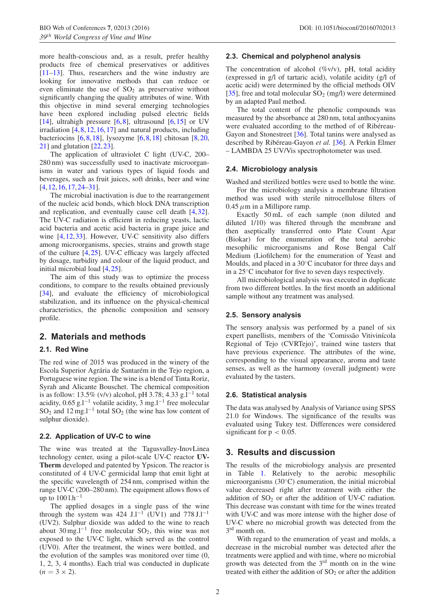more health-conscious and, as a result, prefer healthy products free of chemical preservatives or additives [\[11](#page-4-8)[–13](#page-4-9)]. Thus, researchers and the wine industry are looking for innovative methods that can reduce or even eliminate the use of  $SO<sub>2</sub>$  as preservative without significantly changing the quality attributes of wine. With this objective in mind several emerging technologies have been explored including pulsed electric fields [\[14](#page-4-10)], ultrahigh pressure  $[6,8]$  $[6,8]$  $[6,8]$ , ultrasound  $[6,15]$  $[6,15]$  $[6,15]$  or UV irradiation [\[4,](#page-4-2)[8](#page-4-6),[12,](#page-4-12)[16](#page-4-13)[,17](#page-4-14)] and natural products, including bacteriocins [\[6](#page-4-4),[8](#page-4-6)[,18](#page-4-15)], lysozyme [\[6](#page-4-4),[8,](#page-4-6)[18\]](#page-4-15) chitosan [\[8](#page-4-6),[20,](#page-4-16) [21](#page-4-17)] and glutation [\[22](#page-4-18)[,23](#page-4-19)].

The application of ultraviolet C light (UV-C, 200– 280 nm) was successfully used to inactivate microorganisms in water and various types of liquid foods and beverages, such as fruit juices, soft drinks, beer and wine [\[4](#page-4-2),[12](#page-4-12)[,16](#page-4-13),[17,](#page-4-14)[24](#page-4-20)[–31](#page-4-21)].

The microbial inactivation is due to the rearrangement of the nucleic acid bonds, which block DNA transcription and replication, and eventually cause cell death [\[4](#page-4-2),[32\]](#page-4-22). The UV-C radiation is efficient in reducing yeasts, lactic acid bacteria and acetic acid bacteria in grape juice and wine [\[4](#page-4-2),[12](#page-4-12)[,33](#page-4-23)]. However, UV-C sensitivity also differs among microorganisms, species, strains and growth stage of the culture [\[4](#page-4-2)[,25](#page-4-24)]. UV-C efficacy was largely affected by dosage, turbidity and colour of the liquid product, and initial microbial load [\[4](#page-4-2),[25\]](#page-4-24).

The aim of this study was to optimize the process conditions, to compare to the results obtained previously [\[34](#page-4-25)], and evaluate the efficiency of microbiological stabilization, and its influence on the physical-chemical characteristics, the phenolic composition and sensory profile.

# **2. Materials and methods**

# **2.1. Red Wine**

The red wine of 2015 was produced in the winery of the Escola Superior Agrária de Santarém in the Tejo region, a Portuguese wine region. The wine is a blend of Tinta Roriz, Syrah and Alicante Bouschet. The chemical composition is as follow: 13.5% (v/v) alcohol, pH 3.78; 4.33 g.l<sup>-1</sup> total acidity,  $0.65$  g.l<sup>-1</sup> volatile acidity,  $3 \text{ mg}$ .l<sup>-1</sup> free molecular SO<sub>2</sub> and 12 mg.l<sup>-1</sup> total SO<sub>2</sub> (the wine has low content of sulphur dioxide).

#### **2.2. Application of UV-C to wine**

The wine was treated at the Tagusvalley-InovLinea technology center, using a pilot-scale UV-C reactor **UV-Therm** developed and patented by Ypsicon. The reactor is constituted of 4 UV-C germicidal lamp that emit light at the specific wavelength of 254 nm, comprised within the range UV-C (200–280 nm). The equipment allows flows of up to  $1001 \text{h}^{-1}$ 

The applied dosages in a single pass of the wine through the system was 424 J.l<sup>-1</sup> (UV1) and  $778$  J.l<sup>-1</sup> (UV2). Sulphur dioxide was added to the wine to reach about 30 mg.l<sup>-1</sup> free molecular SO<sub>2</sub>, this wine was not exposed to the UV-C light, which served as the control (UV0). After the treatment, the wines were bottled, and the evolution of the samples was monitored over time (0, 1, 2, 3, 4 months). Each trial was conducted in duplicate  $(n = 3 \times 2)$ .

#### **2.3. Chemical and polyphenol analysis**

The concentration of alcohol  $(\%v/v)$ , pH, total acidity (expressed in g/l of tartaric acid), volatile acidity (g/l of acetic acid) were determined by the official methods OIV [\[35](#page-4-26)], free and total molecular  $SO_2$  (mg/l) were determined by an adapted Paul method.

The total content of the phenolic compounds was measured by the absorbance at 280 nm, total anthocyanins were evaluated according to the method of of Ribéreau-Gayon and Stonestreet [\[36\]](#page-4-27). Total tanins were analysed as described by Ribéreau-Gayon et al. [\[36\]](#page-4-27). A Perkin Elmer – LAMBDA 25 UV/Vis spectrophotometer was used.

#### **2.4. Microbiology analysis**

Washed and sterilized bottles were used to bottle the wine. For the microbiology analysis a membrane filtration method was used with sterile nitrocellulose filters of 0.45*µ*m in a Millipore ramp.

Exactly 50 mL of each sample (non diluted and diluted 1/10) was filtered through the membrane and then aseptically transferred onto Plate Count Agar (Biokar) for the enumeration of the total aerobic mesophilic microorganisms and Rose Bengal Calf Medium (Liofilchem) for the enumeration of Yeast and Moulds, and placed in a 30◦C incubator for three days and in a 25◦C incubator for five to seven days respectively.

All microbiological analysis was executed in duplicate from two different bottles. In the first month an additional sample without any treatment was analysed.

#### **2.5. Sensory analysis**

The sensory analysis was performed by a panel of six expert panellists, members of the 'Comissão Vitiviní cola Regional of Tejo (CVRTejo)', trained wine tasters that have previous experience. The attributes of the wine, corresponding to the visual appearance, aroma and taste senses, as well as the harmony (overall judgment) were evaluated by the tasters.

#### **2.6. Statistical analysis**

The data was analysed by Analysis of Variance using SPSS 21.0 for Windows. The significance of the results was evaluated using Tukey test. Differences were considered significant for  $p < 0.05$ .

# **3. Results and discussion**

The results of the microbiology analysis are presented in Table [1.](#page-2-0) Relatively to the aerobic mesophilic microorganisms (30◦C) enumeration, the initial microbial value decreased right after treatment with either the addition of  $SO<sub>2</sub>$  or after the addition of UV-C radiation. This decrease was constant with time for the wines treated with UV-C and was more intense with the higher dose of UV-C where no microbial growth was detected from the 3<sup>rd</sup> month on.

With regard to the enumeration of yeast and molds, a decrease in the microbial number was detected after the treatments were applied and with time, where no microbial growth was detected from the 3rd month on in the wine treated with either the addition of  $SO<sub>2</sub>$  or after the addition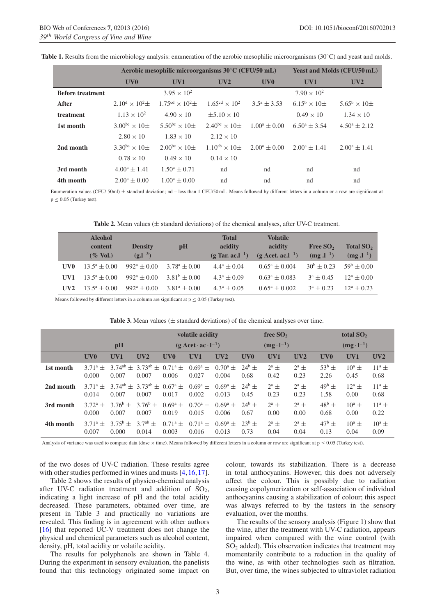|                         |                                    | Aerobic mesophilic microorganisms 30°C (CFU/50 mL) | <b>Yeast and Molds (CFU/50 mL)</b> |                        |                                  |                                  |  |
|-------------------------|------------------------------------|----------------------------------------------------|------------------------------------|------------------------|----------------------------------|----------------------------------|--|
|                         | UV <sub>0</sub>                    | UV1                                                | UV2                                | UV <sub>0</sub>        | UV1                              | UV2                              |  |
| <b>Before treatment</b> |                                    | $3.95 \times 10^{2}$                               |                                    |                        | $7.90 \times 10^{2}$             |                                  |  |
| After                   | $2.10^{\rm d} \times 10^{\rm 2}$ + | $1.75^{\text{cd}} \times 10^{2} \pm$               | $1.65^{\text{cd}} \times 10^{2}$   | $3.5^{\circ} \pm 3.53$ | $6.15^{\rm b} \times 10^{\rm +}$ | $5.65^{\rm b} \times 10^{\rm +}$ |  |
| treatment               | $1.13 \times 10^{2}$               | $4.90 \times 10$                                   | $\pm 5.10 \times 10$               |                        | $0.49 \times 10$                 | $1.34 \times 10$                 |  |
| 1st month               | 3.00 <sup>bc</sup> $\times$ 10+    | 5.50 <sup>bc</sup> $\times$ 10+                    | $2.40^{bc} \times 10^{+}$          | $1.00^a \pm 0.00$      | $6.50^{\circ} \pm 3.54$          | $4.50^a \pm 2.12$                |  |
|                         | $2.80 \times 10$                   | $1.83 \times 10$                                   | $2.12 \times 10$                   |                        |                                  |                                  |  |
| 2nd month               | 3.30 <sup>bc</sup> $\times$ 10+    | $2.00^{bc} \times 10^{+}$                          | $1.10^{ab} \times 10^+$            | $2.00^a \pm 0.00$      | $2.00^a \pm 1.41$                | $2.00^a \pm 1.41$                |  |
|                         | $0.78 \times 10$                   | $0.49 \times 10$                                   | $0.14 \times 10^{-1}$              |                        |                                  |                                  |  |
| 3rd month               | $4.00^a \pm 1.41$                  | $1.50^a \pm 0.71$                                  | nd                                 | nd                     | nd                               | nd                               |  |
| 4th month               | $2.00^a \pm 0.00$                  | $1.00^a \pm 0.00$                                  | nd                                 | nd                     | nd                               | nd                               |  |

<span id="page-2-0"></span>**Table 1.** Results from the microbiology analysis: enumeration of the aerobic mesophilic microorganisms (30◦C) and yeast and molds.

Enumeration values (CFU/ 50ml)  $\pm$  standard deviation; nd - less than 1 CFU/50 mL. Means followed by different letters in a column or a row are significant at p ≤ 0*.*05 (Turkey test).

| <b>Table 2.</b> Mean values ( $\pm$ standard deviations) of the chemical analyses, after UV-C treatment. |  |
|----------------------------------------------------------------------------------------------------------|--|
|----------------------------------------------------------------------------------------------------------|--|

|     | <b>Alcohol</b><br>content<br>$(\%$ Vol.) | <b>Density</b><br>$(g.l^{-3})$ | pH                | <b>Total</b><br>acidity<br>$(g$ Tar. ac. $I^{-1}$ ) | <b>Volatile</b><br>acidity<br>$(g \text{ Act. ac.} l^{-1})$ | Free $SO2$<br>$(mg.l^{-1})$ | Total $SO2$<br>$(mg.l^{-1})$ |
|-----|------------------------------------------|--------------------------------|-------------------|-----------------------------------------------------|-------------------------------------------------------------|-----------------------------|------------------------------|
|     |                                          |                                |                   |                                                     |                                                             |                             |                              |
| UV0 | $13.5^a + 0.00$                          | $992^a + 0.00$                 | $3.78^a \pm 0.00$ | $4.4^a \pm 0.04$                                    | $0.65^a \pm 0.004$                                          | $30^{\rm b} \pm 0.23$       | $59^{\rm b} + 0.00$          |
| UV1 | $13.5^a + 0.00$                          | $992^a + 0.00$                 | $3.81^b \pm 0.00$ | $4.3^a \pm 0.09$                                    | $0.63^a \pm 0.083$                                          | $3^a + 0.45$                | $12^a \pm 0.00$              |
| UV2 | $13.5^a + 0.00$                          | $992^a + 0.00$                 | $3.81^a \pm 0.00$ | $4.3^a \pm 0.05$                                    | $0.65^a \pm 0.002$                                          | $3^a + 0.23$                | $12^a + 0.23$                |

Means followed by different letters in a column are significant at  $p \le 0.05$  (Turkey test).

|           |                           |                               |                                                     | volatile acidity                        |                               |                           | free $SO2$          |                     |                 | total $SO2$            |                  |                      |
|-----------|---------------------------|-------------------------------|-----------------------------------------------------|-----------------------------------------|-------------------------------|---------------------------|---------------------|---------------------|-----------------|------------------------|------------------|----------------------|
|           | pH                        |                               |                                                     | $(g \text{ Act} \cdot ac \cdot l^{-1})$ |                               |                           | $(mg \cdot l^{-1})$ |                     |                 | $(mg \cdot l^{-1})$    |                  |                      |
|           | UV <sub>0</sub>           | UV1                           | UV2                                                 | UV <sub>0</sub>                         | UV1                           | UV2                       | UV <sub>0</sub>     | UV1                 | UV2             | UV <sub>0</sub>        | UV1              | UV2                  |
| 1st month | $3.71^a +$<br>0.000       | 0.007                         | $3.74^{ab} \pm 3.73^{ab} \pm 0.71^{a} \pm$<br>0.007 | 0.006                                   | $0.69^{\rm a}$ $\pm$<br>0.027 | $0.70^{\circ}$ ±<br>0.004 | $24^{b} +$<br>0.68  | $2^a$ $\pm$<br>0.42 | $2^a$ +<br>0.23 | $53^{b}$ $\pm$<br>2.26 | $10^a +$<br>0.45 | $11^a$ $\pm$<br>0.68 |
| 2nd month | $3.71^{\circ} +$<br>0.014 | 0.007                         | $3.74^{ab} \pm 3.73^{ab} \pm 0.67^a \pm$<br>0.007   | 0.017                                   | $0.69^{\rm a}$ $\pm$<br>0.002 | $0.69^a +$<br>0.013       | $24^{6} +$<br>0.45  | $2^a$ $\pm$<br>0.23 | $2^a$ +<br>0.23 | $49^b +$<br>1.58       | $12^a$ +<br>0.00 | $11^a +$<br>0.68     |
| 3rd month | $3.72^{\circ}$ +<br>0.000 | $3.76^{\rm b}$ $\pm$<br>0.007 | $3.76^b$ +<br>0.007                                 | $0.69^a +$<br>0.019                     | $0.70^a +$<br>0.015           | $0.69^a +$<br>0.006       | $24^{6} +$<br>0.67  | $2^a$ $\pm$<br>0.00 | $2^a$ +<br>0.00 | $48^b \pm$<br>0.68     | $10^a +$<br>0.00 | $11^a$ $\pm$<br>0.22 |
| 4th month | $3.71^a +$<br>0.007       | $3.75^{\rm b} +$<br>0.000     | $3.7^{ab}$ $\pm$<br>0.014                           | $0.71^{\circ}$ ±<br>0.003               | $0.71^a +$<br>0.016           | $0.69^a +$<br>0.013       | $23^{b} +$<br>0.73  | $2^a$ $\pm$<br>0.04 | $2^a$ +<br>0.04 | $47^{\rm b} +$<br>0.13 | $10^a +$<br>0.04 | $10^a$ $\pm$<br>0.09 |
|           |                           |                               |                                                     |                                         |                               |                           |                     |                     |                 |                        |                  |                      |

| <b>Table 3.</b> Mean values ( $\pm$ standard deviations) of the chemical analyses over time. |
|----------------------------------------------------------------------------------------------|
|----------------------------------------------------------------------------------------------|

Analysis of variance was used to compare data (dose  $\times$  time). Means followed by different letters in a column or row are significant at  $p \le 0.05$  (Turkey test).

of the two doses of UV-C radiation. These results agree with other studies performed in wines and musts [\[4,](#page-4-2) [16](#page-4-13), [17\]](#page-4-14).

Table 2 shows the results of physico-chemical analysis after UV-C radiation treatment and addition of  $SO<sub>2</sub>$ , indicating a light increase of pH and the total acidity decreased. These parameters, obtained over time, are present in Table 3 and practically no variations are revealed. This finding is in agreement with other authors [\[16](#page-4-13)] that reported UC-V treatment does not change the physical and chemical parameters such as alcohol content, density, pH, total acidity or volatile acidity.

The results for polyphenols are shown in Table 4. During the experiment in sensory evaluation, the panelists found that this technology originated some impact on colour, towards its stabilization. There is a decrease in total anthocyanins. However, this does not adversely affect the colour. This is possibly due to radiation causing copolymerization or self-association of individual anthocyanins causing a stabilization of colour; this aspect was always referred to by the tasters in the sensory evaluation, over the months.

The results of the sensory analysis (Figure 1) show that the wine, after the treatment with UV-C radiation, appears impaired when compared with the wine control (with  $SO<sub>2</sub>$  added). This observation indicates that treatment may momentarily contribute to a reduction in the quality of the wine, as with other technologies such as filtration. But, over time, the wines subjected to ultraviolet radiation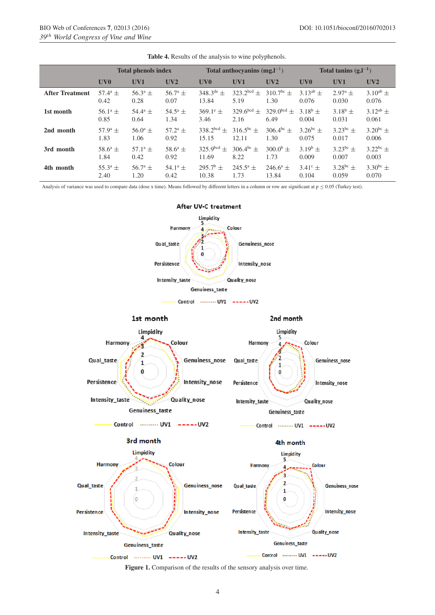|                        | <b>Total phenols index</b> |                         |                  |                       | Total anthocyanins $(mg, l^{-1})$ |                   | Total tanins $(g,l^{-1})$ |                  |                 |  |
|------------------------|----------------------------|-------------------------|------------------|-----------------------|-----------------------------------|-------------------|---------------------------|------------------|-----------------|--|
|                        | UV <sub>0</sub>            | UV1                     | UV2              | UV <sub>0</sub>       | UV1                               | UV2               | UV <sub>0</sub>           | UV1              | UV2             |  |
| <b>After Treatment</b> | $57.4^{\circ}$ ±           | $56.3^{\circ}$ ±        | $56.7^{\circ}$ ± | $348.3^{\text{de}}$ ± | $323.2^{bcd} +$                   | $310.7^{bc}$ ±    | $3.13^{ab}$ $\pm$         | $2.97^{\circ}$ + | $3.10^{ab}$ ±   |  |
|                        | 0.42                       | 0.28                    | 0.07             | 13.84                 | 5.19                              | 1.30              | 0.076                     | 0.030            | 0.076           |  |
| 1st month              | $56.1^{\circ}$ ±           | $54.4^{\circ}$ ±        | $54.5^{\circ}$ ± | $369.1^e \pm$         | $329.6^{bcd}$ ±                   | $329.0^{bcd}$ +   | $3.18^b$ ±                | $3.18^b$ ±       | $3.12^{ab}$ ±   |  |
|                        | 0.85                       | 0.64                    | 1.34             | 3.46                  | 2.16                              | 6.49              | 0.004                     | 0.031            | 0.061           |  |
| 2nd month              | $57.9^{\circ}$ ±           | $56.0^{\circ}$ ±        | $57.2^{\circ}$ ± | $338.2^{bcd}$ ±       | $316.5^{bc} \pm$                  | $306.4^{bc} \pm$  | $3.26^{bc} \pm$           | $3.23^{bc} \pm$  | $3.20^{bc} \pm$ |  |
|                        | 1.83                       | 1.06                    | 0.92             | 15.15                 | 12.11                             | 1.30              | 0.075                     | 0.017            | 0.006           |  |
| 3rd month              | $58.6^{\circ}$ ±           | 57.1 <sup>a</sup> $\pm$ | $58.6^a \pm$     | $325.9^{bcd}$ ±       | $306.4^{bc} \pm$                  | $300.0^{\rm b}$ ± | $3.19^b \pm$              | $3.23^{bc}$ ±    | $3.22^{bc}$ ±   |  |
|                        | 1.84                       | 0.42                    | 0.92             | 11.69                 | 8.22                              | 1.73              | 0.009                     | 0.007            | 0.003           |  |
| 4th month              | $55.3^{\circ}$ ±           | $56.7^{\circ}$ ±        | $54.1^{\circ}$ ± | $295.7^{\rm b}$ ±     | $245.5^{\circ}$ ±                 | $246.6^{\circ}$ ± | $3.41^{\circ}$ ±          | $3.28^{bc}$ ±    | $3.30^{bc} \pm$ |  |
|                        | 2.40                       | 1.20                    | 0.42             | 10.38                 | 1.73                              | 13.84             | 0.104                     | 0.059            | 0.070           |  |

**Table 4.** Results of the analysis to wine polyphenols.

Analysis of variance was used to compare data (dose x time). Means followed by different letters in a column or row are significant at  $p \le 0.05$  (Turkey test).



Figure 1. Comparison of the results of the sensory analysis over time.